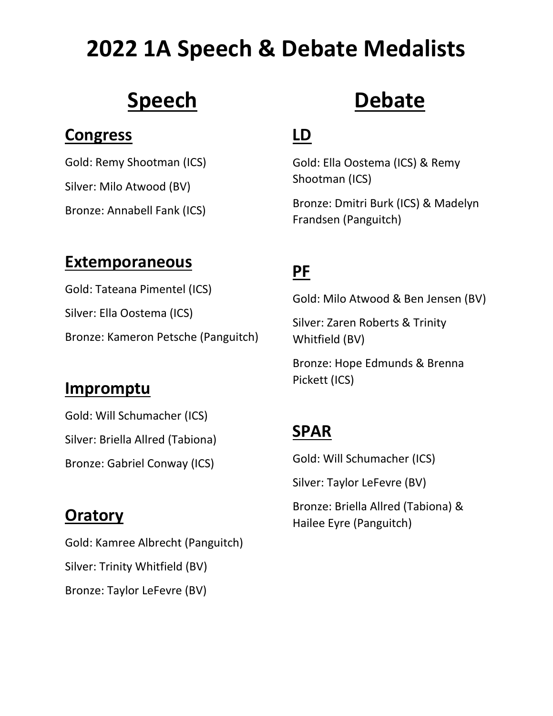# **2022 1A Speech & Debate Medalists**

## **Speech**

#### **Congress**

Gold: Remy Shootman (ICS) Silver: Milo Atwood (BV) Bronze: Annabell Fank (ICS)

# **Debate**

### **LD**

Gold: Ella Oostema (ICS) & Remy Shootman (ICS)

Bronze: Dmitri Burk (ICS) & Madelyn Frandsen (Panguitch)

#### **Extemporaneous**

Gold: Tateana Pimentel (ICS) Silver: Ella Oostema (ICS) Bronze: Kameron Petsche (Panguitch)

#### **Impromptu**

Gold: Will Schumacher (ICS) Silver: Briella Allred (Tabiona) Bronze: Gabriel Conway (ICS)

### **Oratory**

Gold: Kamree Albrecht (Panguitch) Silver: Trinity Whitfield (BV) Bronze: Taylor LeFevre (BV)

## **PF**

Gold: Milo Atwood & Ben Jensen (BV)

Silver: Zaren Roberts & Trinity Whitfield (BV)

Bronze: Hope Edmunds & Brenna Pickett (ICS)

### **SPAR**

Gold: Will Schumacher (ICS)

Silver: Taylor LeFevre (BV)

Bronze: Briella Allred (Tabiona) & Hailee Eyre (Panguitch)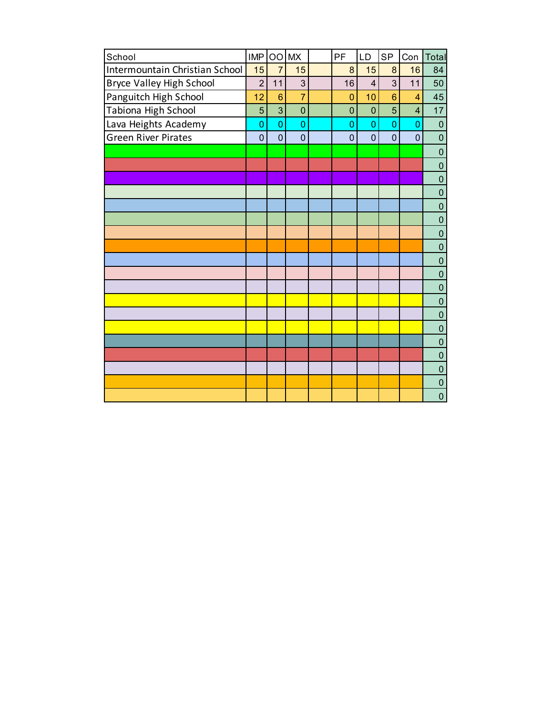| School                          | <b>IMP</b>     |                 | OO MX          | <b>PF</b>      | <b>LD</b>      | <b>SP</b>       | Con            | Total          |
|---------------------------------|----------------|-----------------|----------------|----------------|----------------|-----------------|----------------|----------------|
| Intermountain Christian School  | 15             | $\overline{7}$  | 15             | 8              | 15             | 8               | 16             | 84             |
| <b>Bryce Valley High School</b> | $\overline{2}$ | 11              | 3              | 16             | $\overline{4}$ | $\overline{3}$  | 11             | 50             |
| Panguitch High School           | 12             | $6\phantom{1}6$ | $\overline{7}$ | $\overline{0}$ | 10             | $6\phantom{1}6$ | 4              | 45             |
| Tabiona High School             | 5              | 3               | $\mathbf 0$    | $\mathbf 0$    | $\overline{0}$ | 5               | $\overline{4}$ | 17             |
| Lava Heights Academy            | $\overline{0}$ | $\overline{0}$  | $\overline{0}$ | 0              | $\overline{0}$ | $\overline{0}$  | $\overline{0}$ | $\pmb{0}$      |
| Green River Pirates             | 0              | $\mathbf 0$     | $\mathbf 0$    | $\mathbf 0$    | $\overline{0}$ | $\overline{0}$  | $\overline{0}$ | $\mathbf 0$    |
|                                 |                |                 |                |                |                |                 |                | $\pmb{0}$      |
|                                 |                |                 |                |                |                |                 |                | $\pmb{0}$      |
|                                 |                |                 |                |                |                |                 |                | $\pmb{0}$      |
|                                 |                |                 |                |                |                |                 |                | $\mathbf 0$    |
|                                 |                |                 |                |                |                |                 |                | $\pmb{0}$      |
|                                 |                |                 |                |                |                |                 |                | $\overline{0}$ |
|                                 |                |                 |                |                |                |                 |                | $\pmb{0}$      |
|                                 |                |                 |                |                |                |                 |                | $\mathbf 0$    |
|                                 |                |                 |                |                |                |                 |                | $\overline{0}$ |
|                                 |                |                 |                |                |                |                 |                | $\overline{0}$ |
|                                 |                |                 |                |                |                |                 |                | $\overline{0}$ |
|                                 |                |                 |                |                |                |                 |                | $\overline{0}$ |
|                                 |                |                 |                |                |                |                 |                | $\overline{0}$ |
|                                 |                |                 |                |                |                |                 |                | $\pmb{0}$      |
|                                 |                |                 |                |                |                |                 |                | $\mathbf 0$    |
|                                 |                |                 |                |                |                |                 |                | $\pmb{0}$      |
|                                 |                |                 |                |                |                |                 |                | $\overline{0}$ |
|                                 |                |                 |                |                |                |                 |                | $\pmb{0}$      |
|                                 |                |                 |                |                |                |                 |                | $\overline{0}$ |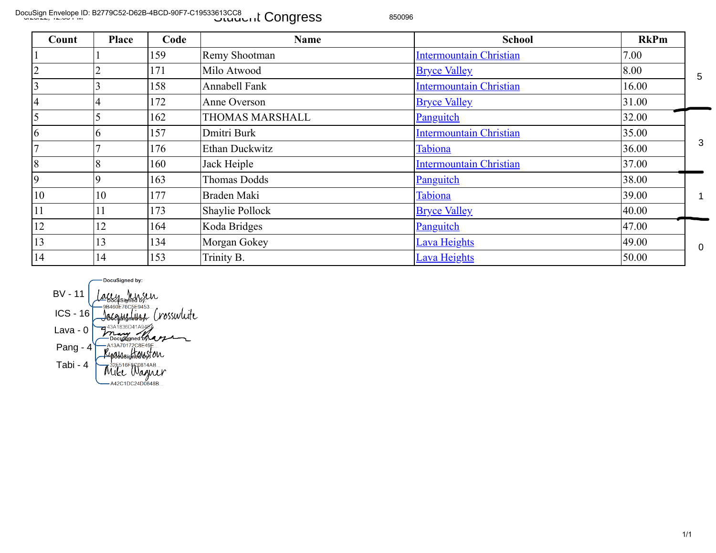DocuSign Envelope ID: B2779C52-D62B-4BCD-90F7-C19533613CC8<br>المسابق المسابق العربية المسابق المسابق المسابق المسابق المسابق المسابق المسابق المسابق المسابق المسابق المساب

| Count                                                     | <b>Place</b>                                                                                                  | Code                                                                                                                                                                                                                                                       | <b>Name</b>          | <b>School</b>                  | <b>RkPm</b> |                  |
|-----------------------------------------------------------|---------------------------------------------------------------------------------------------------------------|------------------------------------------------------------------------------------------------------------------------------------------------------------------------------------------------------------------------------------------------------------|----------------------|--------------------------------|-------------|------------------|
|                                                           |                                                                                                               | 159                                                                                                                                                                                                                                                        | Remy Shootman        | <b>Intermountain Christian</b> | 7.00        |                  |
| $\overline{2}$                                            |                                                                                                               | 171                                                                                                                                                                                                                                                        | Milo Atwood          | <b>Bryce Valley</b>            | 8.00        | 5                |
| $\overline{\mathbf{3}}$                                   | 3                                                                                                             | 158                                                                                                                                                                                                                                                        | <b>Annabell Fank</b> | <b>Intermountain Christian</b> | 16.00       |                  |
| $\overline{4}$                                            | 4                                                                                                             | 172                                                                                                                                                                                                                                                        | Anne Overson         | <b>Bryce Valley</b>            | 31.00       |                  |
| $\overline{5}$                                            | 5                                                                                                             | 162                                                                                                                                                                                                                                                        | THOMAS MARSHALL      | <b>Panguitch</b>               | 32.00       |                  |
| 6                                                         | 6                                                                                                             | 157                                                                                                                                                                                                                                                        | Dmitri Burk          | <b>Intermountain Christian</b> | 35.00       |                  |
| $\overline{7}$                                            | 7                                                                                                             | 176                                                                                                                                                                                                                                                        | Ethan Duckwitz       | Tabiona                        | 36.00       | $\mathbf{3}$     |
| $\sqrt{8}$                                                | 8                                                                                                             | 160                                                                                                                                                                                                                                                        | Jack Heiple          | <b>Intermountain Christian</b> | 37.00       |                  |
| $\overline{9}$                                            | 9                                                                                                             | 163                                                                                                                                                                                                                                                        | Thomas Dodds         | Panguitch                      | 38.00       |                  |
| $10\,$                                                    | 10                                                                                                            | 177                                                                                                                                                                                                                                                        | Braden Maki          | Tabiona                        | 39.00       | $\mathbf 1$      |
| $11\,$                                                    | 11                                                                                                            | 173                                                                                                                                                                                                                                                        | Shaylie Pollock      | <b>Bryce Valley</b>            | 40.00       |                  |
| 12                                                        | 12                                                                                                            | 164                                                                                                                                                                                                                                                        | Koda Bridges         | Panguitch                      | 47.00       |                  |
| 13                                                        | 13                                                                                                            | 134                                                                                                                                                                                                                                                        | Morgan Gokey         | Lava Heights                   | 49.00       | $\boldsymbol{0}$ |
| 14                                                        | 14                                                                                                            | 153                                                                                                                                                                                                                                                        | Trinity B.           | Lava Heights                   | 50.00       |                  |
| <b>BV - 11</b><br>$ICS - 16$<br>Lava - $0$<br>Pang - $41$ | DocuSigned by:<br><b>ALLY JULSUR</b><br>-9B460E76C5E9453<br>Tabi - 4 $\frac{325516F96814AB}{4.25616F96814AB}$ | Jasquentiere Crosswlite<br>Tash 1836Danager<br>Pocument of the Contract of the Contract of the Contract of the Contract of the Contract of the Contract of the Contract of the Contract of the Contract of the Contract of the Contract of the Contract of |                      |                                |             |                  |

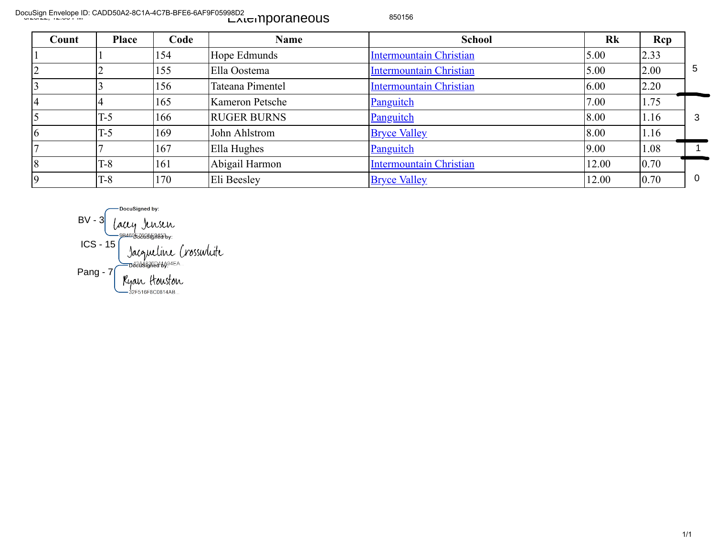DocuSign Envelope ID: CADD50A2-8C1A-4C7B-BFE6-6AF9F05998D2<br>المستحدث المستحدثة المستحدثة المستحدثة المستحدثة المستحدثة المستحدثة المستحدثة المستحدثة المستحدثة المستحدثة ا

| Count | <b>Place</b> | Code | <b>Name</b>        | <b>School</b>                  | Rk    | <b>Rcp</b> |          |
|-------|--------------|------|--------------------|--------------------------------|-------|------------|----------|
|       |              | 154  | Hope Edmunds       | <b>Intermountain Christian</b> | 5.00  | 2.33       |          |
| ∠     |              | 155  | Ella Oostema       | <b>Intermountain Christian</b> | 5.00  | 2.00       | 5        |
|       |              | 156  | Tateana Pimentel   | <b>Intermountain Christian</b> | 6.00  | 2.20       |          |
|       |              | 165  | Kameron Petsche    | Panguitch                      | 7.00  | 1.75       |          |
|       | $T-5$        | 166  | <b>RUGER BURNS</b> | Panguitch                      | 8.00  | 1.16       | 3        |
| 6     | $T-5$        | 169  | John Ahlstrom      | <b>Bryce Valley</b>            | 8.00  | 1.16       |          |
|       |              | 167  | Ella Hughes        | Panguitch                      | 9.00  | 1.08       |          |
| 8     | $T-8$        | 161  | Abigail Harmon     | <b>Intermountain Christian</b> | 12.00 | 0.70       |          |
|       | $T-8$        | 170  | Eli Beesley        | <b>Bryce Valley</b>            | 12.00 | 0.70       | $\Omega$ |

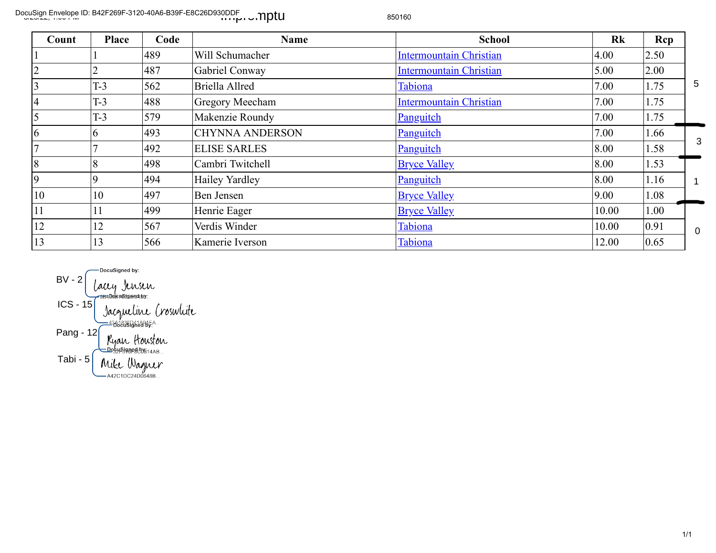DocuSign Envelope ID: B42F269F-3120-40A6-B39F-E8C26D930DDF<br>المجلس العربية المجلس العربية المجلس العربية المجلس العربية المجلس العربية المجلس العربية المجلس العربية المجل

| Count | Place | Code | <b>Name</b>            | <b>School</b>                  | Rk    | Rcp  |                |
|-------|-------|------|------------------------|--------------------------------|-------|------|----------------|
|       |       | 489  | Will Schumacher        | <b>Intermountain Christian</b> | 4.00  | 2.50 |                |
|       |       | 487  | Gabriel Conway         | <b>Intermountain Christian</b> | 5.00  | 2.00 |                |
|       | $T-3$ | 562  | Briella Allred         | Tabiona                        | 7.00  | 1.75 | 5              |
|       | $T-3$ | 488  | <b>Gregory Meecham</b> | <b>Intermountain Christian</b> | 7.00  | 1.75 |                |
|       | $T-3$ | 579  | Makenzie Roundy        | <b>Panguitch</b>               | 7.00  | 1.75 |                |
| 6     |       | 493  | <b>CHYNNA ANDERSON</b> | Panguitch                      | 7.00  | 1.66 |                |
|       |       | 492  | <b>ELISE SARLES</b>    | Panguitch                      | 8.00  | 1.58 | 3              |
| 8     |       | 498  | Cambri Twitchell       | <b>Bryce Valley</b>            | 8.00  | 1.53 |                |
| 9     |       | 494  | Hailey Yardley         | Panguitch                      | 8.00  | 1.16 |                |
| 10    | 10    | 497  | Ben Jensen             | <b>Bryce Valley</b>            | 9.00  | 1.08 |                |
| 11    | 11    | 499  | Henrie Eager           | <b>Bryce Valley</b>            | 10.00 | 1.00 |                |
| 12    | 12    | 567  | Verdis Winder          | Tabiona                        | 10.00 | 0.91 | $\overline{0}$ |
| 13    | 13    | 566  | Kamerie Iverson        | Tabiona                        | 12.00 | 0.65 |                |

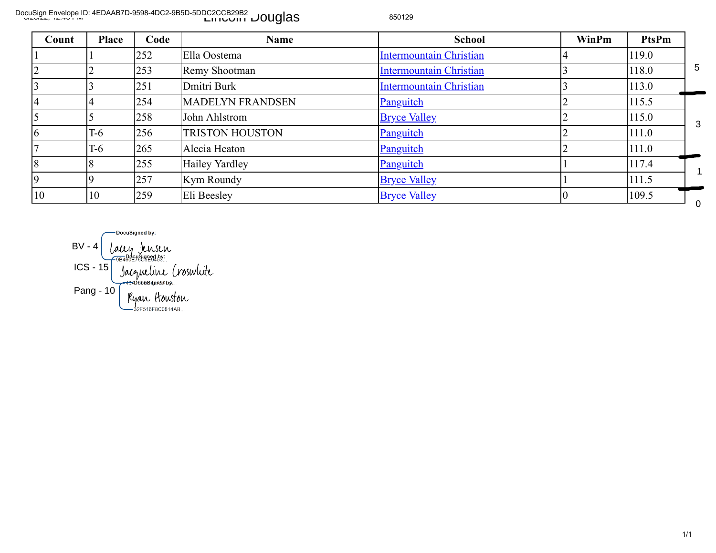DocuSign Envelope ID: 4EDAAB7D-9598-4DC2-9B5D-5DDC2CCB29B2<br>المسابق العربي العربي العربي العربي العربي العربي العربي العربي العربي العربي العربي العربي العربي العربي العر

| Count                   | <b>Place</b>           | Code                                                          | <b>Name</b>             | <b>School</b>                  | WinPm          | <b>PtsPm</b> |              |
|-------------------------|------------------------|---------------------------------------------------------------|-------------------------|--------------------------------|----------------|--------------|--------------|
|                         |                        | 252                                                           | Ella Oostema            | <b>Intermountain Christian</b> | 4              | 119.0        |              |
| $\overline{2}$          | 2                      | 253                                                           | Remy Shootman           | <b>Intermountain Christian</b> |                | 118.0        | 5            |
| $\overline{3}$          |                        | 251                                                           | Dmitri Burk             | <b>Intermountain Christian</b> |                | 113.0        |              |
| $\overline{4}$          | 4                      | 254                                                           | <b>MADELYN FRANDSEN</b> | Panguitch                      |                | 115.5        |              |
| $\overline{\mathbf{5}}$ | 5                      | 258                                                           | John Ahlstrom           | <b>Bryce Valley</b>            |                | 115.0        | $\mathbf{3}$ |
| 6                       | $T-6$                  | 256                                                           | <b>TRISTON HOUSTON</b>  | Panguitch                      |                | 111.0        |              |
| $\overline{7}$          | $T-6$                  | 265                                                           | Alecia Heaton           | Panguitch                      |                | 111.0        |              |
| 8                       | 8                      | 255                                                           | <b>Hailey Yardley</b>   | <b>Panguitch</b>               |                | 117.4        |              |
| $\overline{9}$          | 9                      | 257                                                           | Kym Roundy              | <b>Bryce Valley</b>            |                | 111.5        |              |
|                         | 10                     | 259                                                           | Eli Beesley             | <b>Bryce Valley</b>            | $\overline{0}$ | 109.5        | $\mathbf 0$  |
| 10                      | $BV - 4$<br>$ICS - 15$ | DocuSigned by:<br><i>Laccy</i> Jensen<br>Jacqueline Croswlite |                         |                                |                |              |              |

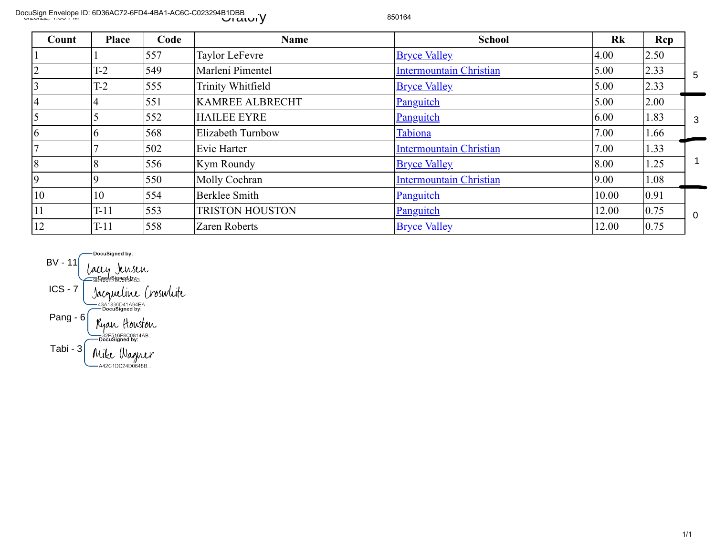DocuSign Envelope ID: 6D36AC72-6FD4-4BA1-AC6C-C023294B1DBB<br>المسابق المسلم العربي المسلم المسلم المسلم المسلم المسلم المسلم المسلم المسلم المسلم المسلم المسلم المسلم المس

| Count                                              | <b>Place</b>                                                                                                                                                                  | Code                 | <b>Name</b>            | <b>School</b>                  | Rk    | Rcp  |           |
|----------------------------------------------------|-------------------------------------------------------------------------------------------------------------------------------------------------------------------------------|----------------------|------------------------|--------------------------------|-------|------|-----------|
|                                                    |                                                                                                                                                                               | 557                  | Taylor LeFevre         | <b>Bryce Valley</b>            | 4.00  | 2.50 |           |
| $\overline{2}$                                     | $T-2$                                                                                                                                                                         | 549                  | Marleni Pimentel       | <b>Intermountain Christian</b> | 5.00  | 2.33 | 5         |
| 3                                                  | $T-2$                                                                                                                                                                         | 555                  | Trinity Whitfield      | <b>Bryce Valley</b>            | 5.00  | 2.33 |           |
| $\overline{4}$                                     | $\overline{4}$                                                                                                                                                                | 551                  | KAMREE ALBRECHT        | <b>Panguitch</b>               | 5.00  | 2.00 |           |
| 5                                                  |                                                                                                                                                                               | 552                  | <b>HAILEE EYRE</b>     | <b>Panguitch</b>               | 6.00  | 1.83 | 3         |
| 6                                                  | 6                                                                                                                                                                             | 568                  | Elizabeth Turnbow      | Tabiona                        | 7.00  | 1.66 |           |
| $\overline{7}$                                     |                                                                                                                                                                               | 502                  | Evie Harter            | Intermountain Christian        | 7.00  | 1.33 |           |
| 8                                                  | 8                                                                                                                                                                             | 556                  | Kym Roundy             | <b>Bryce Valley</b>            | 8.00  | 1.25 | 1         |
| 9                                                  | 9                                                                                                                                                                             | 550                  | Molly Cochran          | <b>Intermountain Christian</b> | 9.00  | 1.08 |           |
| 10                                                 | 10                                                                                                                                                                            | 554                  | Berklee Smith          | <b>Panguitch</b>               | 10.00 | 0.91 |           |
| $11\,$                                             | $T-11$                                                                                                                                                                        | 553                  | <b>TRISTON HOUSTON</b> | Panguitch                      | 12.00 | 0.75 | $\pmb{0}$ |
| 12                                                 | $T-11$                                                                                                                                                                        | 558                  | Zaren Roberts          | <b>Bryce Valley</b>            | 12.00 | 0.75 |           |
| $BV - 11$<br>$ICS - 7$<br>Pang - $6$<br>Tabi - $3$ | DocuSigned by:<br>Lacey Jensen<br>==Booksboodsbass<br>.43A1836D41A94EA<br>— DocuSigned by:<br>Kyan Houston<br>—32F516F8C0814AB<br>·DocuSigned by:<br>$M/L$ , $W_{\text{eff}}$ | Jacqueline Croswlite |                        |                                |       |      |           |

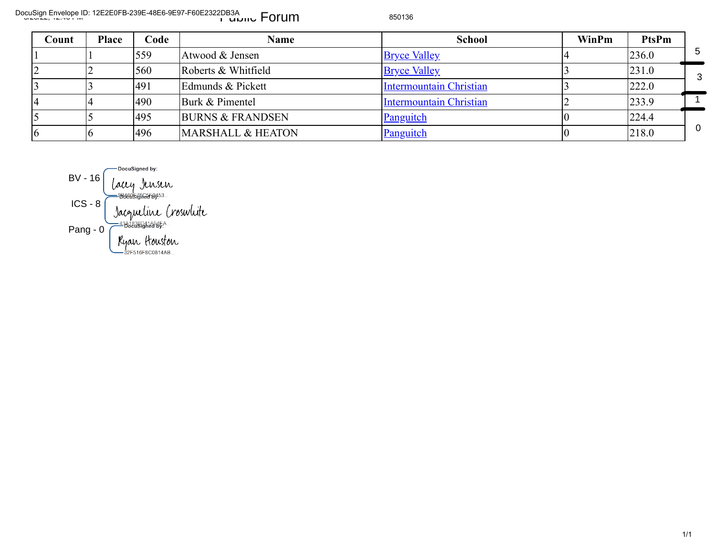DocuSign Envelope ID: 12E2E0FB-239E-48E6-9E97-F60E2322DB3A<br>المسلمات العربية العربية العربية العربية العربية العربية العربية العربية العربية العربية العربية العربية العرب

| Count          | <b>Place</b>           | Code                                                                                                            | <b>Name</b>                  | <b>School</b>                  | WinPm | PtsPm |                |
|----------------|------------------------|-----------------------------------------------------------------------------------------------------------------|------------------------------|--------------------------------|-------|-------|----------------|
|                |                        | 559                                                                                                             | Atwood & Jensen              | <b>Bryce Valley</b>            |       | 236.0 | 5              |
| $\overline{2}$ |                        | 560                                                                                                             | Roberts & Whitfield          | <b>Bryce Valley</b>            |       | 231.0 | 3              |
| $\overline{3}$ |                        | 491                                                                                                             | Edmunds & Pickett            | <b>Intermountain Christian</b> |       | 222.0 |                |
| $\overline{4}$ |                        | 490                                                                                                             | Burk & Pimentel              | <b>Intermountain Christian</b> |       | 233.9 |                |
| 5              |                        | 495                                                                                                             | <b>BURNS &amp; FRANDSEN</b>  | Panguitch                      |       | 224.4 |                |
| $\overline{6}$ |                        | 496                                                                                                             | <b>MARSHALL &amp; HEATON</b> | Panguitch                      |       | 218.0 | $\overline{0}$ |
|                | $BV - 16$<br>$ICS - 8$ | DocuSigned by:<br>lacey Jensen<br><b>-9546057GRE5F9453</b><br>Jacqueline Croswlite<br><del></del> ═╝┹┪┋╝╝╝┪┪┪┪┪ |                              |                                |       |       |                |
|                | Pang - $0$             |                                                                                                                 |                              |                                |       |       |                |

2F516F8C0814AB